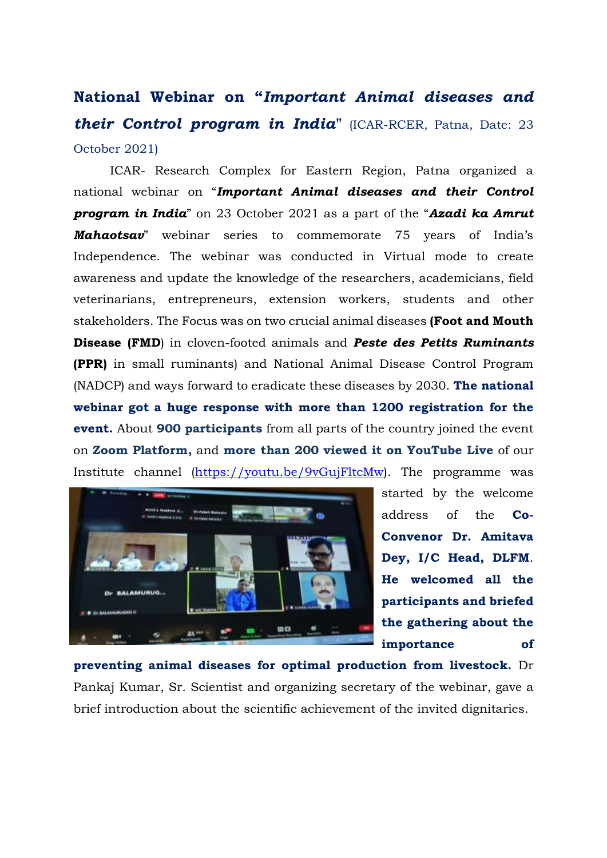**National Webinar on "***Important Animal diseases and their Control program in India***"** (ICAR-RCER, Patna, Date: 23 October 2021)

ICAR- Research Complex for Eastern Region, Patna organized a national webinar on "*Important Animal diseases and their Control program in India*" on 23 October 2021 as a part of the "*Azadi ka Amrut Mahaotsav*" webinar series to commemorate 75 years of India's Independence. The webinar was conducted in Virtual mode to create awareness and update the knowledge of the researchers, academicians, field veterinarians, entrepreneurs, extension workers, students and other stakeholders. The Focus was on two crucial animal diseases **(Foot and Mouth Disease (FMD**) in cloven-footed animals and *Peste des Petits Ruminants* **(PPR)** in small ruminants) and National Animal Disease Control Program (NADCP) and ways forward to eradicate these diseases by 2030. **The national webinar got a huge response with more than 1200 registration for the event.** About **900 participants** from all parts of the country joined the event on **Zoom Platform,** and **more than 200 viewed it on YouTube Live** of our Institute channel [\(https://youtu.be/9vGujFltcMw\)](https://youtu.be/9vGujFltcMw). The programme was



started by the welcome address of the **Co-Convenor Dr. Amitava Dey, I/C Head, DLFM**. **He welcomed all the participants and briefed the gathering about the importance of** 

**preventing animal diseases for optimal production from livestock.** Dr Pankaj Kumar, Sr. Scientist and organizing secretary of the webinar, gave a brief introduction about the scientific achievement of the invited dignitaries.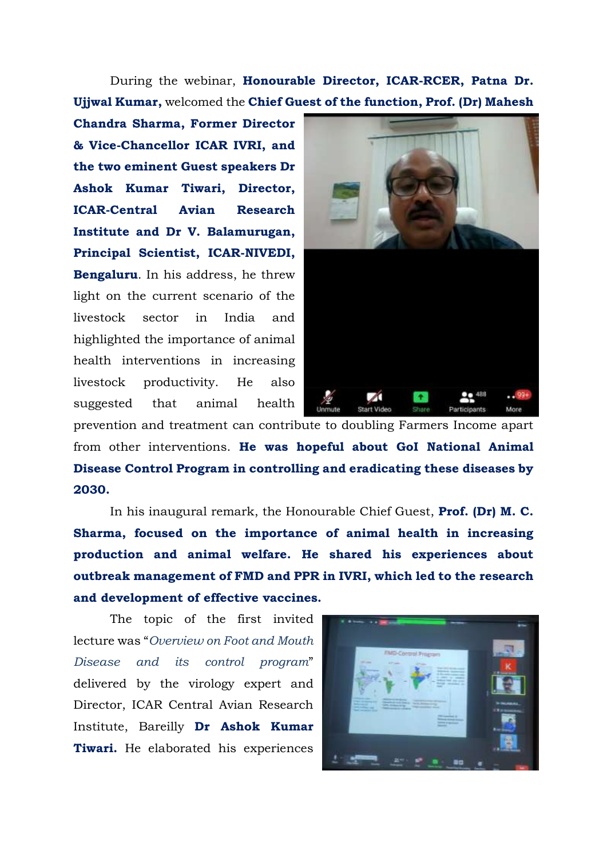During the webinar, **Honourable Director, ICAR-RCER, Patna Dr. Ujjwal Kumar,** welcomed the **Chief Guest of the function, Prof. (Dr) Mahesh** 

**Chandra Sharma, Former Director & Vice-Chancellor ICAR IVRI, and the two eminent Guest speakers Dr Ashok Kumar Tiwari, Director, ICAR-Central Avian Research Institute and Dr V. Balamurugan, Principal Scientist, ICAR-NIVEDI, Bengaluru**. In his address, he threw light on the current scenario of the livestock sector in India and highlighted the importance of animal health interventions in increasing livestock productivity. He also suggested that animal health



prevention and treatment can contribute to doubling Farmers Income apart from other interventions. **He was hopeful about GoI National Animal Disease Control Program in controlling and eradicating these diseases by 2030.**

In his inaugural remark, the Honourable Chief Guest, **Prof. (Dr) M. C. Sharma, focused on the importance of animal health in increasing production and animal welfare. He shared his experiences about outbreak management of FMD and PPR in IVRI, which led to the research and development of effective vaccines.**

The topic of the first invited lecture was "*Overview on Foot and Mouth Disease and its control program*" delivered by the virology expert and Director, ICAR Central Avian Research Institute, Bareilly **Dr Ashok Kumar Tiwari.** He elaborated his experiences